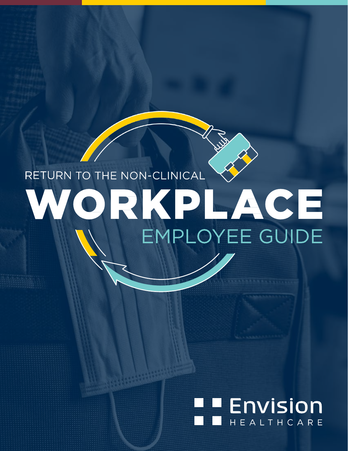# RETURN TO THE NON-CLINICAL WORKPLACE **EMPLOYEE GUIDE**

# **TENVISION** HEALTHCARE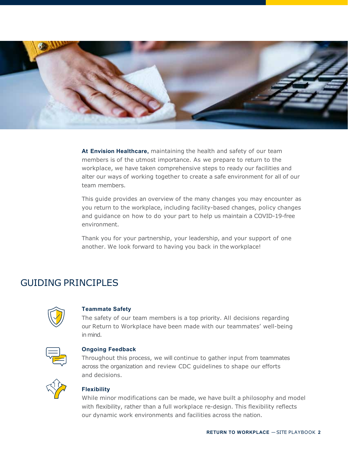

**At Envision Healthcare,** maintaining the health and safety of our team members is of the utmost importance. As we prepare to return to the workplace, we have taken comprehensive steps to ready our facilities and alter our ways of working together to create a safe environment for all of our team members.

This guide provides an overview of the many changes you may encounter as you return to the workplace, including facility-based changes, policy changes and guidance on how to do your part to help us maintain a COVID-19-free environment.

Thank you for your partnership, your leadership, and your support of one another. We look forward to having you back in the workplace!

# GUIDING PRINCIPLES



#### **Teammate Safety**

The safety of our team members is a top priority. All decisions regarding our Return to Workplace have been made with our teammates' well-being in mind.



#### **Ongoing Feedback**

Throughout this process, we will continue to gather input from teammates across the organization and review CDC guidelines to shape our efforts and decisions.



#### **Flexibility**

While minor modifications can be made, we have built a philosophy and model with flexibility, rather than a full workplace re-design. This flexibility reflects our dynamic work environments and facilities across the nation.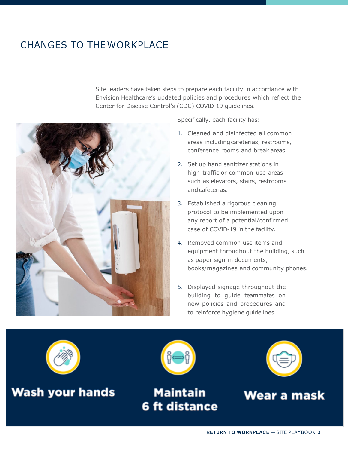# CHANGES TO THEWORKPLACE

Site leaders have taken steps to prepare each facility in accordance with Envision Healthcare's updated policies and procedures which reflect the Center for Disease Control's (CDC) COVID-19 guidelines.



Specifically, each facility has:

- 1. Cleaned and disinfected all common areas including cafeterias, restrooms, conference rooms and break areas.
- 2. Set up hand sanitizer stations in high-traffic or common-use areas such as elevators, stairs, restrooms andcafeterias.
- 3. Established a rigorous cleaning protocol to be implemented upon any report of a potential/confirmed case of COVID-19 in the facility.
- 4. Removed common use items and equipment throughout the building, such as paper sign-in documents, books/magazines and community phones.
- 5. Displayed signage throughout the building to guide teammates on new policies and procedures and to reinforce hygiene guidelines.



**Wash your hands** 



# **Maintain 6 ft distance**



Wear a mask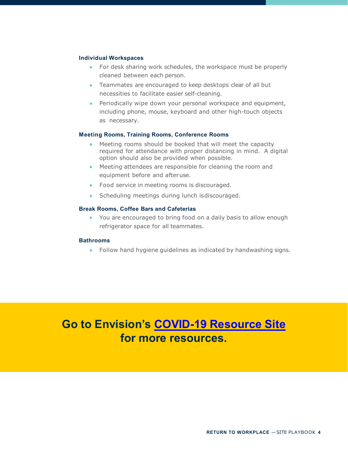#### **Individual Workspaces**

- For desk sharing work schedules, the workspace must be properly cleaned between each person.
- Teammates are encouraged to keep desktops clear of all but necessities to facilitate easier self-cleaning.
- Periodically wipe down your personal workspace and equipment, including phone, mouse, keyboard and other high-touch objects as necessary.

#### **Meeting Rooms, Training Rooms, Conference Rooms**

- Meeting rooms should be booked that will meet the capacity required for attendance with proper distancing in mind. A digital option should also be provided when possible.
- Meeting attendees are responsible for cleaning the room and equipment before and afteruse.
- Food service in meeting rooms is discouraged.
- Scheduling meetings during lunch is discouraged.

#### **Break Rooms, Coffee Bars and Cafeterias**

● You are encouraged to bring food on a daily basis to allow enough refrigerator space for all teammates.

#### **Bathrooms**

● Follow hand hygiene guidelines as indicated by handwashing signs.

# **Go to Envision's [COVID-19 Resource Site](https://www.evhc.net/coronavirus)  for more resources.**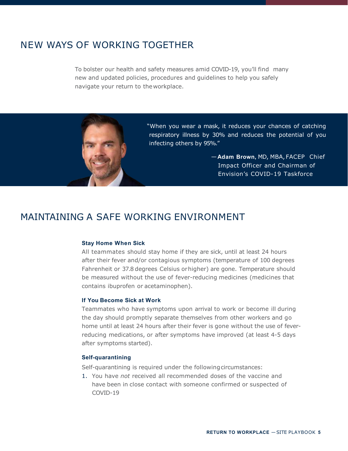# NEW WAYS OF WORKING TOGETHER

To bolster our health and safety measures amid COVID-19, you'll find many new and updated policies, procedures and guidelines to help you safely navigate your return to theworkplace.



"When you wear a mask, it reduces your chances of catching respiratory illness by 30% and reduces the potential of you infecting others by 95%."

> —**Adam Brown,** MD, MBA,FACEP Chief Impact Officer and Chairman of Envision's COVID-19 Taskforce

## MAINTAINING A SAFE WORKING ENVIRONMENT

#### **Stay Home When Sick**

All teammates should stay home if they are sick, until at least 24 hours after their fever and/or contagious symptoms (temperature of 100 degrees Fahrenheit or 37.8 degrees Celsius orhigher) are gone. Temperature should be measured without the use of fever-reducing medicines (medicines that contains ibuprofen or acetaminophen).

#### **If You Become Sick at Work**

Teammates who have symptoms upon arrival to work or become ill during the day should promptly separate themselves from other workers and go home until at least 24 hours after their fever is gone without the use of feverreducing medications, or after symptoms have improved (at least 4-5 days after symptoms started).

#### **Self-quarantining**

Self-quarantining is required under the following circumstances:

1. You have *not* received all recommended doses of the vaccine and have been in close contact with someone confirmed or suspected of COVID-19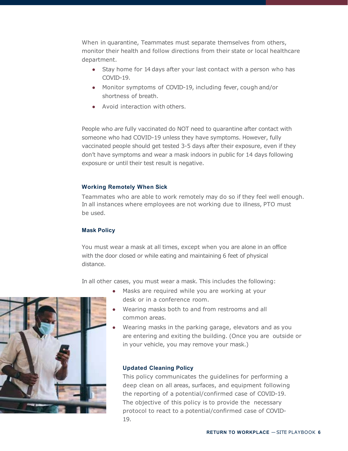When in quarantine, Teammates must separate themselves from others, monitor their health and follow directions from their state or local healthcare department.

- Stay home for 14 days after your last contact with a person who has COVID-19.
- Monitor symptoms of COVID-19, including fever, cough and/or shortness of breath.
- Avoid interaction with others.

People who *are* fully vaccinated do NOT need to quarantine after contact with someone who had COVID-19 unless they have symptoms. However, fully vaccinated people should get tested 3-5 days after their exposure, even if they don't have symptoms and wear a mask indoors in public for 14 days following exposure or until their test result is negative.

#### **Working Remotely When Sick**

Teammates who are able to work remotely may do so if they feel well enough. In all instances where employees are not working due to illness, PTO must be used.

#### **Mask Policy**

You must wear a mask at all times, except when you are alone in an office with the door closed or while eating and maintaining 6 feet of physical distance.

In all other cases, you must wear a mask. This includes the following:

- Masks are required while you are working at your desk or in a conference room.
	- Wearing masks both to and from restrooms and all common areas.
	- Wearing masks in the parking garage, elevators and as you are entering and exiting the building. (Once you are outside or in your vehicle, you may remove your mask.)

#### **Updated Cleaning Policy**

This policy communicates the guidelines for performing a deep clean on all areas, surfaces, and equipment following the reporting of a potential/confirmed case of COVID-19. The objective of this policy is to provide the necessary protocol to react to a potential/confirmed case of COVID-19.

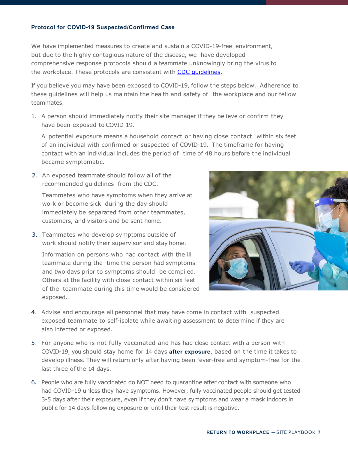#### **Protocol for COVID-19 Suspected/Confirmed Case**

We have implemented measures to create and sustain a COVID-19-free environment, but due to the highly contagious nature of the disease, we have developed comprehensive response protocols should a teammate unknowingly bring the virus to the workplace. These protocols are consistent with CDC quidelines.

If you believe you may have been exposed to COVID-19, follow the steps below. Adherence to these guidelines will help us maintain the health and safety of the workplace and our fellow teammates.

1. A person should immediately notify their site manager if they believe or confirm they have been exposed to COVID-19.

A potential exposure means a household contact or having close contact within six feet of an individual with confirmed or suspected of COVID-19. The timeframe for having contact with an individual includes the period of time of 48 hours before the individual became symptomatic.

2. An exposed teammate should follow all of the recommended guidelines from the CDC.

Teammates who have symptoms when they arrive at work or become sick during the day should immediately be separated from other teammates, customers, and visitors and be sent home.

3. Teammates who develop symptoms outside of work should notify their supervisor and stay home.

Information on persons who had contact with the ill teammate during the time the person had symptoms and two days prior to symptoms should be compiled. Others at the facility with close contact within six feet of the teammate during this time would be considered exposed.



- 4. Advise and encourage all personnel that may have come in contact with suspected exposed teammate to self-isolate while awaiting assessment to determine if they are also infected or exposed.
- 5. For anyone who is not fully vaccinated and has had close contact with a person with COVID-19, you should stay home for 14 days **after exposure**, based on the time it takes to develop illness. They will return only after having been fever-free and symptom-free for the last three of the 14 days.
- 6. People who are fully vaccinated do NOT need to quarantine after contact with someone who had COVID-19 unless they have symptoms. However, fully vaccinated people should get tested 3-5 days after their exposure, even if they don't have symptoms and wear a mask indoors in public for 14 days following exposure or until their test result is negative.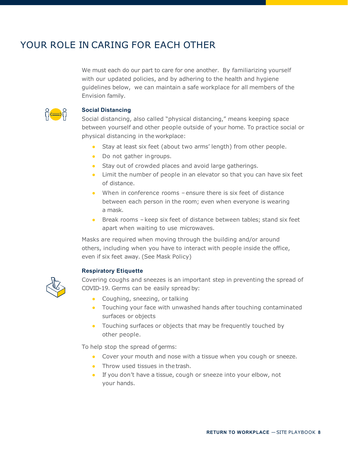# YOUR ROLE IN CARING FOR EACH OTHER

We must each do our part to care for one another. By familiarizing yourself with our updated policies, and by adhering to the health and hygiene guidelines below, we can maintain a safe workplace for all members of the Envision family.



#### **Social Distancing**

Social distancing, also called "physical distancing," means keeping space between yourself and other people outside of your home. To practice social or physical distancing in the workplace:

- Stay at least six feet (about two arms' length) from other people.
- Do not gather ingroups.
- Stay out of crowded places and avoid large gatherings.
- Limit the number of people in an elevator so that you can have six feet of distance.
- When in conference rooms ensure there is six feet of distance between each person in the room; even when everyone is wearing a mask.
- Break rooms keep six feet of distance between tables; stand six feet apart when waiting to use microwaves.

Masks are required when moving through the building and/or around others, including when you have to interact with people inside the office, even if six feet away. (See Mask Policy)

#### **Respiratory Etiquette**



Covering coughs and sneezes is an important step in preventing the spread of COVID-19. Germs can be easily spread by:

- Coughing, sneezing, or talking
- Touching your face with unwashed hands after touching contaminated surfaces or objects
- Touching surfaces or objects that may be frequently touched by other people.

To help stop the spread ofgerms:

- Cover your mouth and nose with a tissue when you cough or sneeze.
- Throw used tissues in the trash.
- If you don't have a tissue, cough or sneeze into your elbow, not your hands.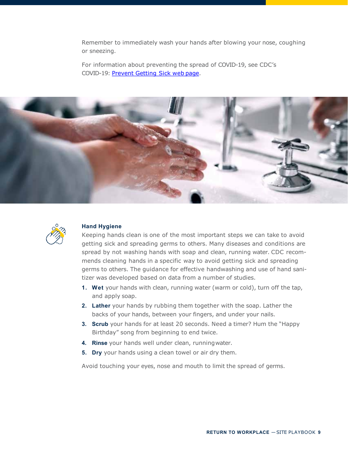Remember to immediately wash your hands after blowing your nose, coughing or sneezing.

For information about preventing the spread of COVID-19, see CDC's COVID-19: [Prevent Getting Sick web](https://www.cdc.gov/coronavirus/2019-ncov/prevent-getting-sick/index.html) page.





#### **Hand Hygiene**

Keeping hands clean is one of the most important steps we can take to avoid getting sick and spreading germs to others. Many diseases and conditions are spread by not washing hands with soap and clean, running water. CDC recommends cleaning hands in a specific way to avoid getting sick and spreading germs to others. The guidance for effective handwashing and use of hand sanitizer was developed based on data from a number of studies.

- **1. Wet** your hands with clean, running water (warm or cold), turn off the tap, and apply soap.
- **2. Lather** your hands by rubbing them together with the soap. Lather the backs of your hands, between your fingers, and under your nails.
- **3. Scrub** your hands for at least 20 seconds. Need a timer? Hum the "Happy Birthday" song from beginning to end twice.
- **4. Rinse** your hands well under clean, runningwater.
- **5. Dry** your hands using a clean towel or air dry them.

Avoid touching your eyes, nose and mouth to limit the spread of germs.